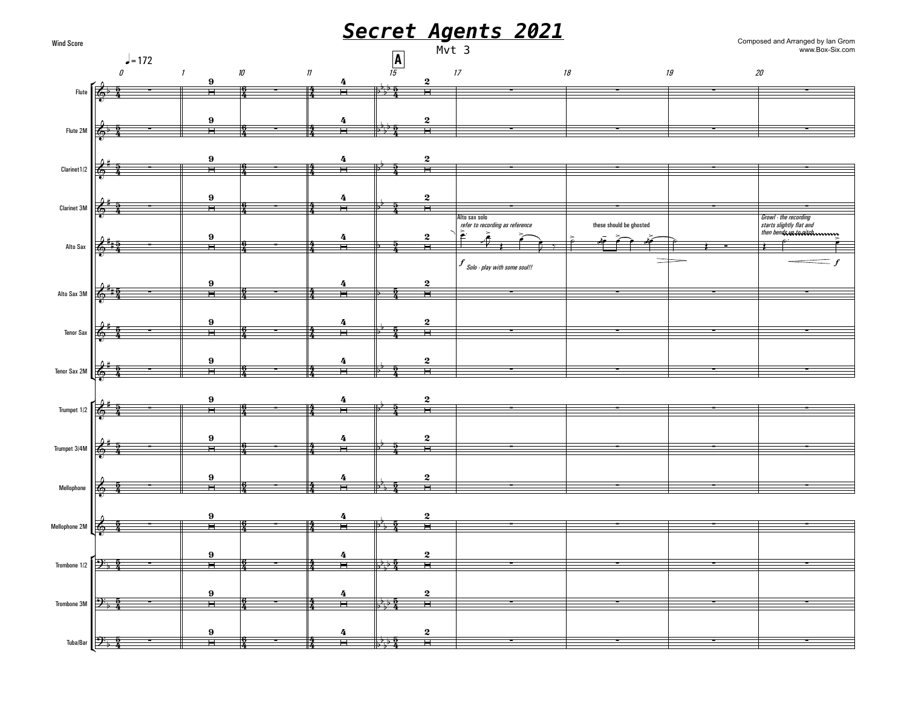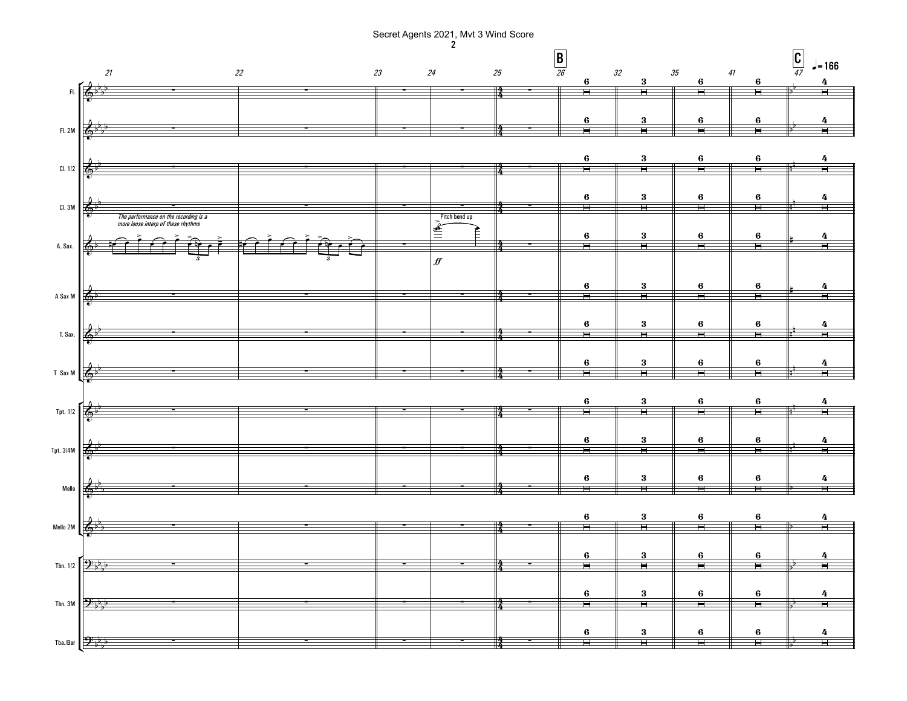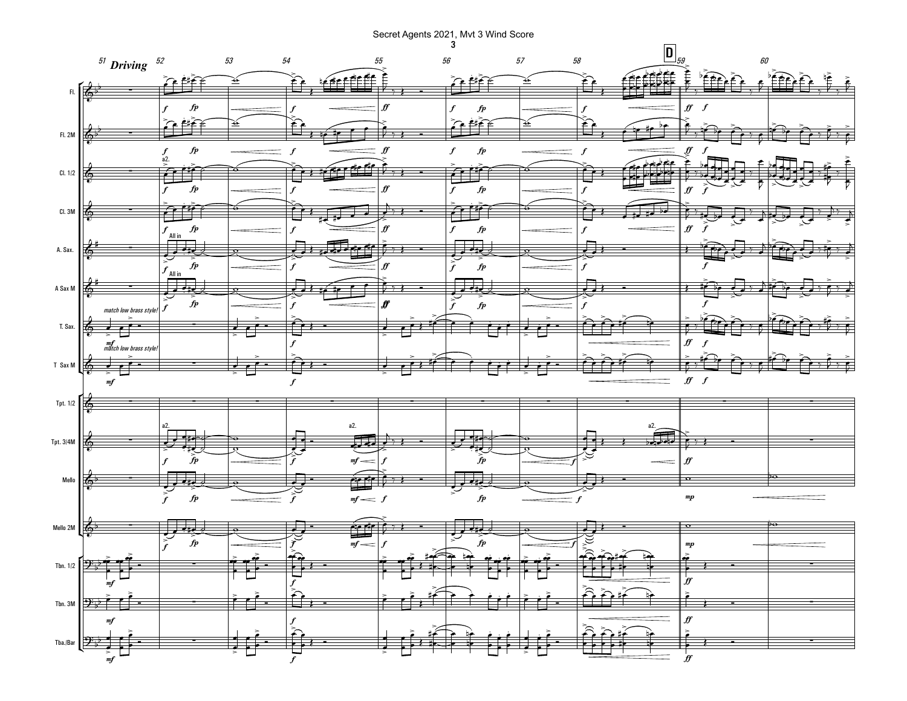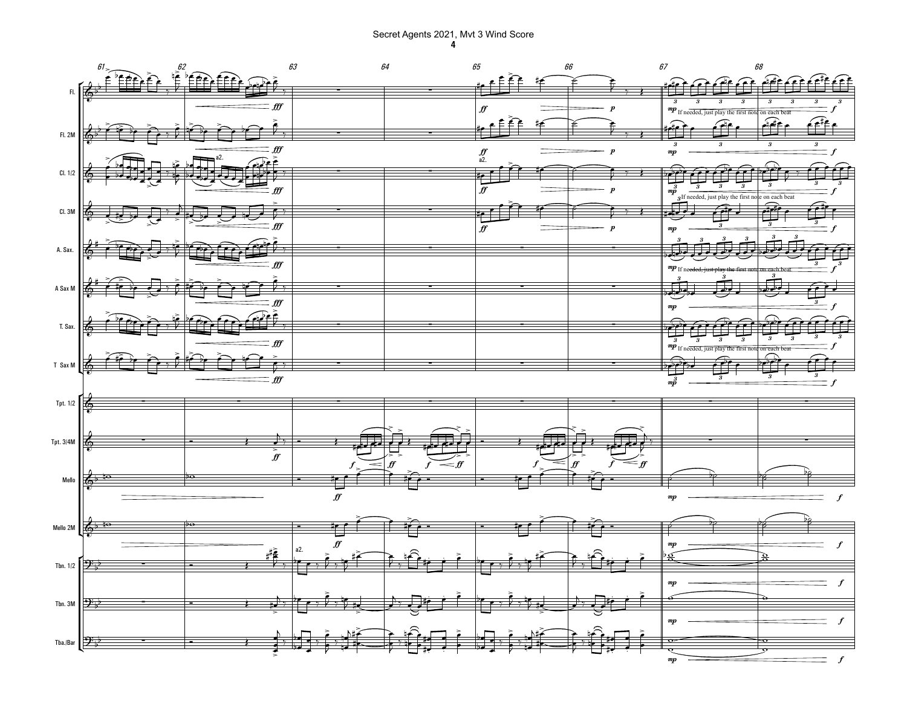Secret Agents 2021, Mvt 3 Wind Score 4

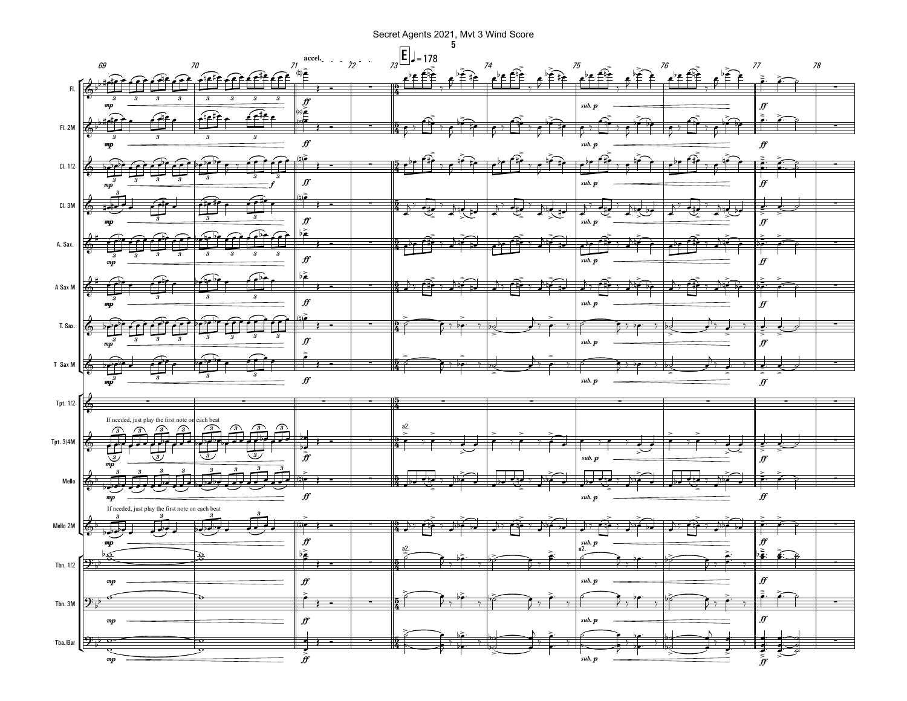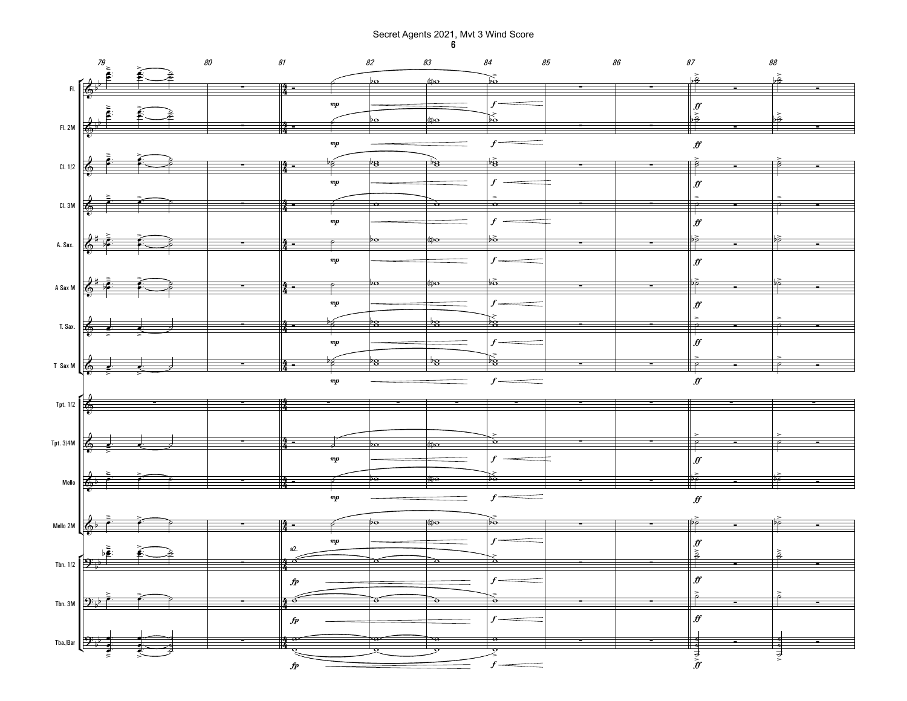